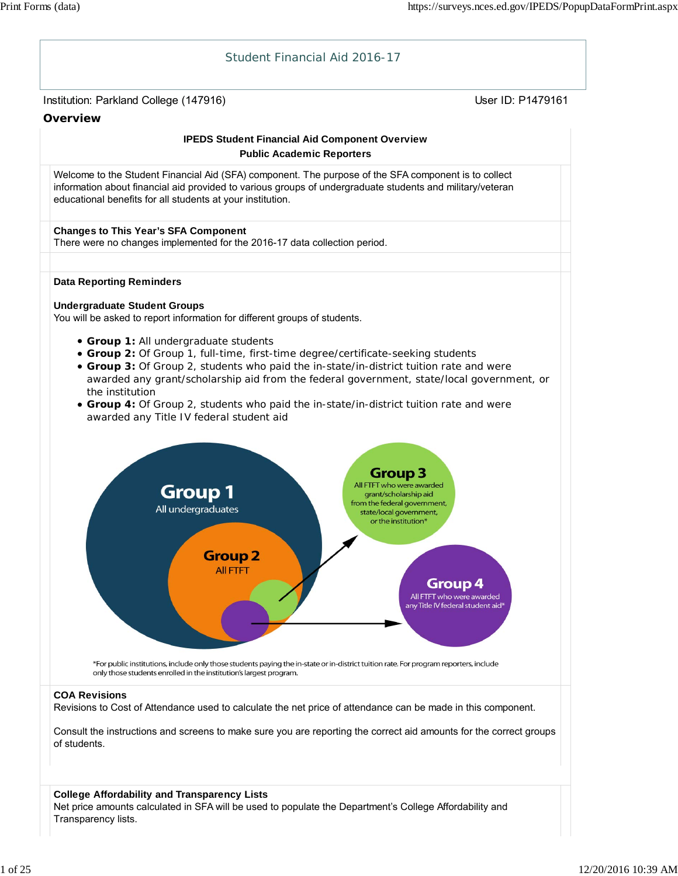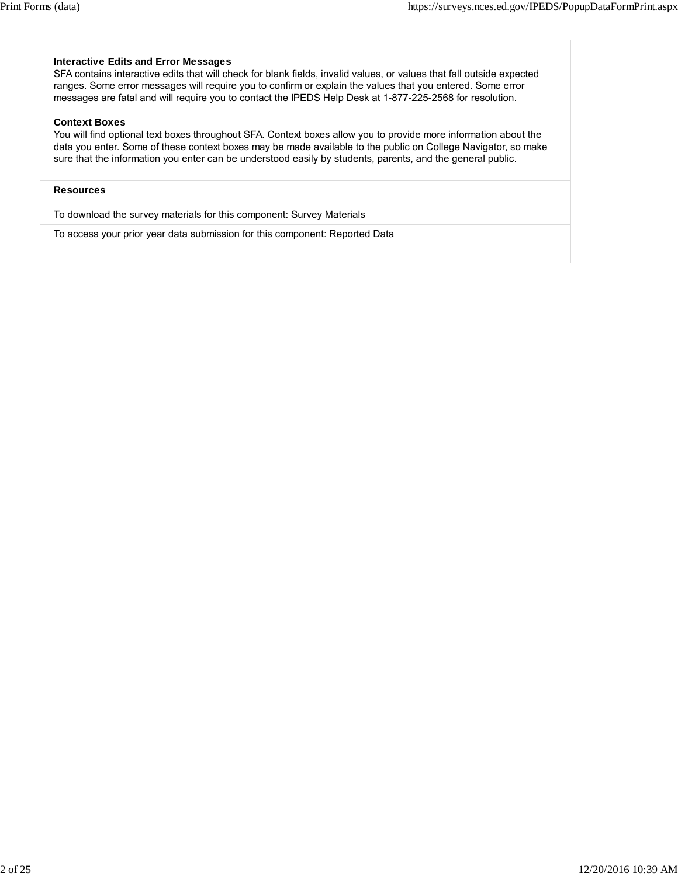# **Interactive Edits and Error Messages**

SFA contains interactive edits that will check for blank fields, invalid values, or values that fall outside expected ranges. Some error messages will require you to confirm or explain the values that you entered. Some error messages are fatal and will require you to contact the IPEDS Help Desk at 1-877-225-2568 for resolution.

#### **Context Boxes**

You will find optional text boxes throughout SFA. Context boxes allow you to provide more information about the data you enter. Some of these context boxes may be made available to the public on College Navigator, so make sure that the information you enter can be understood easily by students, parents, and the general public.

#### **Resources**

To download the survey materials for this component: Survey Materials

To access your prior year data submission for this component: Reported Data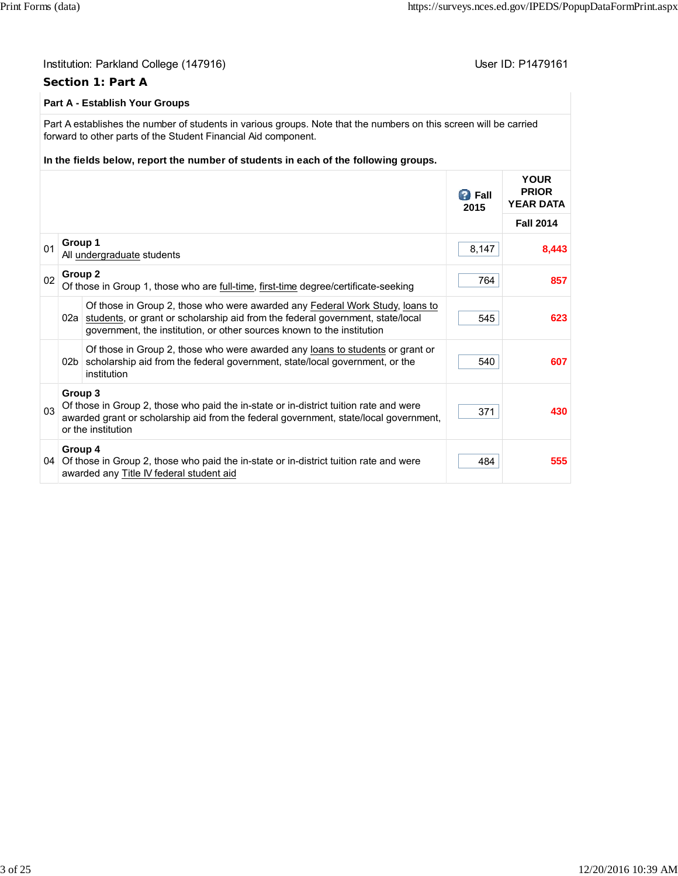|    | Institution: Parkland College (147916)<br>Section 1: Part A |                                                                                                                                                                                                                                                                            |                       | User ID: P1479161                               |  |  |  |
|----|-------------------------------------------------------------|----------------------------------------------------------------------------------------------------------------------------------------------------------------------------------------------------------------------------------------------------------------------------|-----------------------|-------------------------------------------------|--|--|--|
|    | <b>Part A - Establish Your Groups</b>                       |                                                                                                                                                                                                                                                                            |                       |                                                 |  |  |  |
|    |                                                             | Part A establishes the number of students in various groups. Note that the numbers on this screen will be carried<br>forward to other parts of the Student Financial Aid component.<br>In the fields below, report the number of students in each of the following groups. |                       |                                                 |  |  |  |
|    |                                                             |                                                                                                                                                                                                                                                                            | <b>B</b> Fall<br>2015 | <b>YOUR</b><br><b>PRIOR</b><br><b>YEAR DATA</b> |  |  |  |
|    |                                                             |                                                                                                                                                                                                                                                                            |                       | <b>Fall 2014</b>                                |  |  |  |
| 01 | Group 1                                                     | All undergraduate students                                                                                                                                                                                                                                                 | 8,147                 | 8,443                                           |  |  |  |
| 02 | Group <sub>2</sub>                                          | Of those in Group 1, those who are full-time, first-time degree/certificate-seeking                                                                                                                                                                                        | 764                   | 857                                             |  |  |  |
|    | 02a                                                         | Of those in Group 2, those who were awarded any Federal Work Study, loans to<br>students, or grant or scholarship aid from the federal government, state/local<br>government, the institution, or other sources known to the institution                                   | 545                   | 623                                             |  |  |  |
|    | 02 <sub>b</sub>                                             | Of those in Group 2, those who were awarded any loans to students or grant or<br>scholarship aid from the federal government, state/local government, or the<br>institution                                                                                                | 540                   | 607                                             |  |  |  |
| 03 | Group 3                                                     | Of those in Group 2, those who paid the in-state or in-district tuition rate and were<br>awarded grant or scholarship aid from the federal government, state/local government,<br>or the institution                                                                       | 371                   | 430                                             |  |  |  |
|    | Group 4                                                     | 04 Of those in Group 2, those who paid the in-state or in-district tuition rate and were<br>awarded any Title IV federal student aid                                                                                                                                       | 484                   | 555                                             |  |  |  |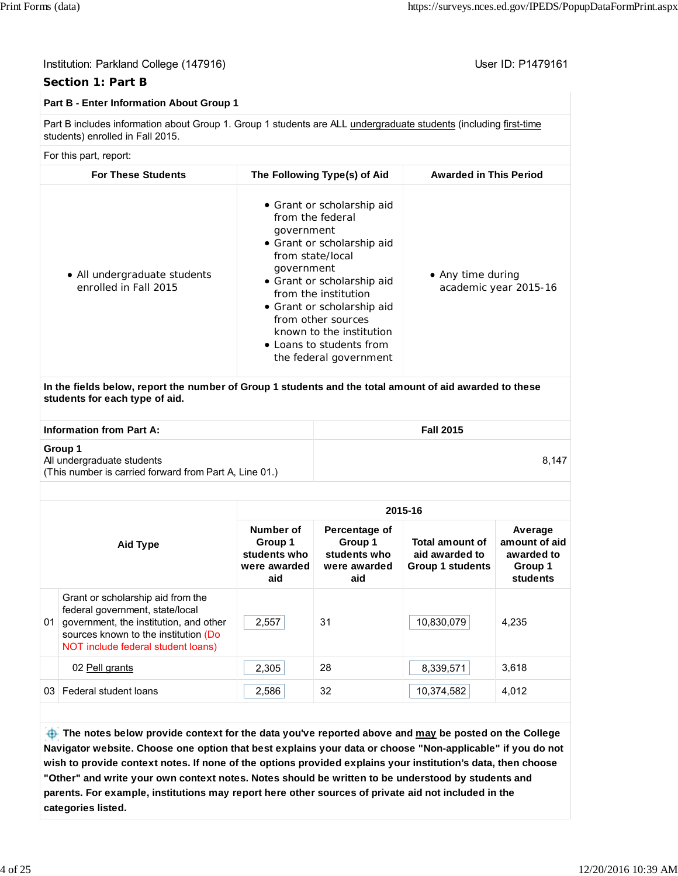8,147

# Institution: Parkland College (147916) November 2012 12: P1479161

# **Section 1: Part B**

#### **Part B - Enter Information About Group 1**

Part B includes information about Group 1. Group 1 students are ALL undergraduate students (including first-time students) enrolled in Fall 2015.

#### For this part, report:

| <b>For These Students</b>                             | The Following Type(s) of Aid                                                                                                                                                                                                                                                                                             | <b>Awarded in This Period</b>              |
|-------------------------------------------------------|--------------------------------------------------------------------------------------------------------------------------------------------------------------------------------------------------------------------------------------------------------------------------------------------------------------------------|--------------------------------------------|
| • All undergraduate students<br>enrolled in Fall 2015 | • Grant or scholarship aid<br>from the federal<br>government<br>• Grant or scholarship aid<br>from state/local<br>government<br>• Grant or scholarship aid<br>from the institution<br>• Grant or scholarship aid<br>from other sources<br>known to the institution<br>• Loans to students from<br>the federal government | • Any time during<br>academic year 2015-16 |

**In the fields below, report the number of Group 1 students and the total amount of aid awarded to these students for each type of aid.**

**Information from Part A:** Fall 2015

#### **Group 1**

All undergraduate students (This number is carried forward from Part A, Line 01.)

| Aid Type |                                                                                                                                                                                              | 2015-16                                                     |                                                                 |                                                                     |                                                               |  |  |
|----------|----------------------------------------------------------------------------------------------------------------------------------------------------------------------------------------------|-------------------------------------------------------------|-----------------------------------------------------------------|---------------------------------------------------------------------|---------------------------------------------------------------|--|--|
|          |                                                                                                                                                                                              | Number of<br>Group 1<br>students who<br>were awarded<br>aid | Percentage of<br>Group 1<br>students who<br>were awarded<br>aid | <b>Total amount of</b><br>aid awarded to<br><b>Group 1 students</b> | Average<br>amount of aid<br>awarded to<br>Group 1<br>students |  |  |
| 01       | Grant or scholarship aid from the<br>federal government, state/local<br>government, the institution, and other<br>sources known to the institution (Do<br>NOT include federal student loans) | 2,557                                                       | 31                                                              | 10,830,079                                                          | 4.235                                                         |  |  |
|          | 02 Pell grants                                                                                                                                                                               | 2,305                                                       | 28                                                              | 8,339,571                                                           | 3.618                                                         |  |  |
| 03       | Federal student loans                                                                                                                                                                        | 2,586                                                       | 32                                                              | 10,374,582                                                          | 4,012                                                         |  |  |

 **The notes below provide context for the data you've reported above and may be posted on the College Navigator website. Choose one option that best explains your data or choose "Non-applicable" if you do not wish to provide context notes. If none of the options provided explains your institution's data, then choose "Other" and write your own context notes. Notes should be written to be understood by students and parents. For example, institutions may report here other sources of private aid not included in the categories listed.**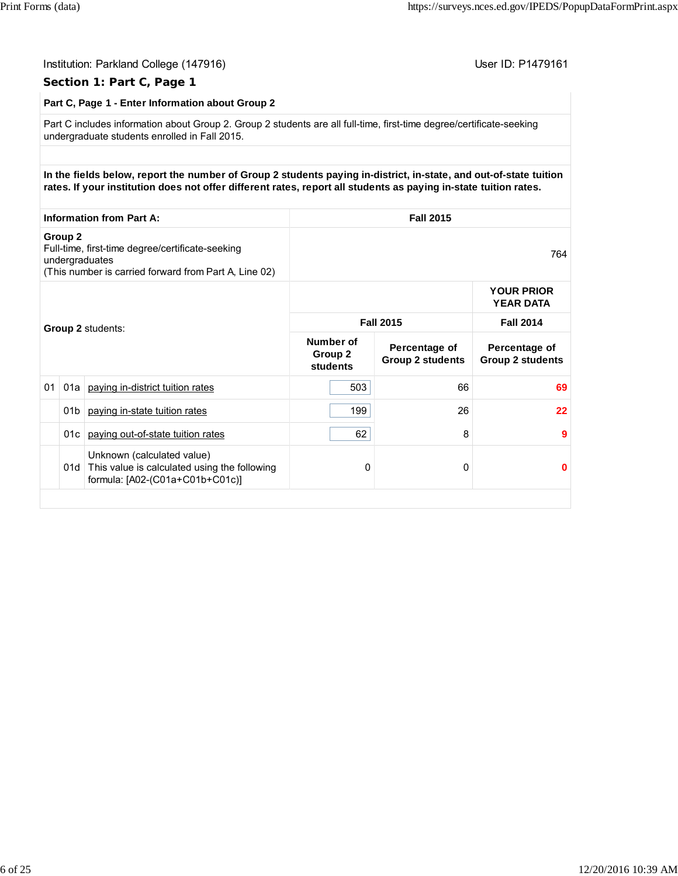|                                                                                                                                        |                 | Institution: Parkland College (147916)<br>Section 1: Part C, Page 1                                                                                                                                                                   |                                             |                                          | User ID: P1479161                        |  |  |
|----------------------------------------------------------------------------------------------------------------------------------------|-----------------|---------------------------------------------------------------------------------------------------------------------------------------------------------------------------------------------------------------------------------------|---------------------------------------------|------------------------------------------|------------------------------------------|--|--|
|                                                                                                                                        |                 | Part C, Page 1 - Enter Information about Group 2                                                                                                                                                                                      |                                             |                                          |                                          |  |  |
|                                                                                                                                        |                 | Part C includes information about Group 2. Group 2 students are all full-time, first-time degree/certificate-seeking<br>undergraduate students enrolled in Fall 2015.                                                                 |                                             |                                          |                                          |  |  |
|                                                                                                                                        |                 |                                                                                                                                                                                                                                       |                                             |                                          |                                          |  |  |
|                                                                                                                                        |                 | In the fields below, report the number of Group 2 students paying in-district, in-state, and out-of-state tuition<br>rates. If your institution does not offer different rates, report all students as paying in-state tuition rates. |                                             |                                          |                                          |  |  |
| <b>Information from Part A:</b>                                                                                                        |                 |                                                                                                                                                                                                                                       |                                             | <b>Fall 2015</b>                         |                                          |  |  |
| Group 2<br>Full-time, first-time degree/certificate-seeking<br>undergraduates<br>(This number is carried forward from Part A, Line 02) |                 | 764                                                                                                                                                                                                                                   |                                             |                                          |                                          |  |  |
|                                                                                                                                        |                 |                                                                                                                                                                                                                                       |                                             |                                          | <b>YOUR PRIOR</b><br><b>YEAR DATA</b>    |  |  |
|                                                                                                                                        |                 | Group 2 students:                                                                                                                                                                                                                     | <b>Fall 2015</b>                            |                                          | <b>Fall 2014</b>                         |  |  |
|                                                                                                                                        |                 |                                                                                                                                                                                                                                       | Number of<br>Group <sub>2</sub><br>students | Percentage of<br><b>Group 2 students</b> | Percentage of<br><b>Group 2 students</b> |  |  |
| 01                                                                                                                                     |                 | 01a   paying in-district tuition rates                                                                                                                                                                                                | 503                                         | 66                                       | 69                                       |  |  |
|                                                                                                                                        | 01 <sub>b</sub> | paying in-state tuition rates                                                                                                                                                                                                         | 199                                         | 26                                       | 22                                       |  |  |
|                                                                                                                                        | 01c             | paying out-of-state tuition rates                                                                                                                                                                                                     | 62                                          | 8                                        | 9                                        |  |  |
|                                                                                                                                        |                 | Unknown (calculated value)<br>01d This value is calculated using the following<br>formula: [A02-(C01a+C01b+C01c)]                                                                                                                     | 0                                           | 0                                        | 0                                        |  |  |
|                                                                                                                                        |                 |                                                                                                                                                                                                                                       |                                             |                                          |                                          |  |  |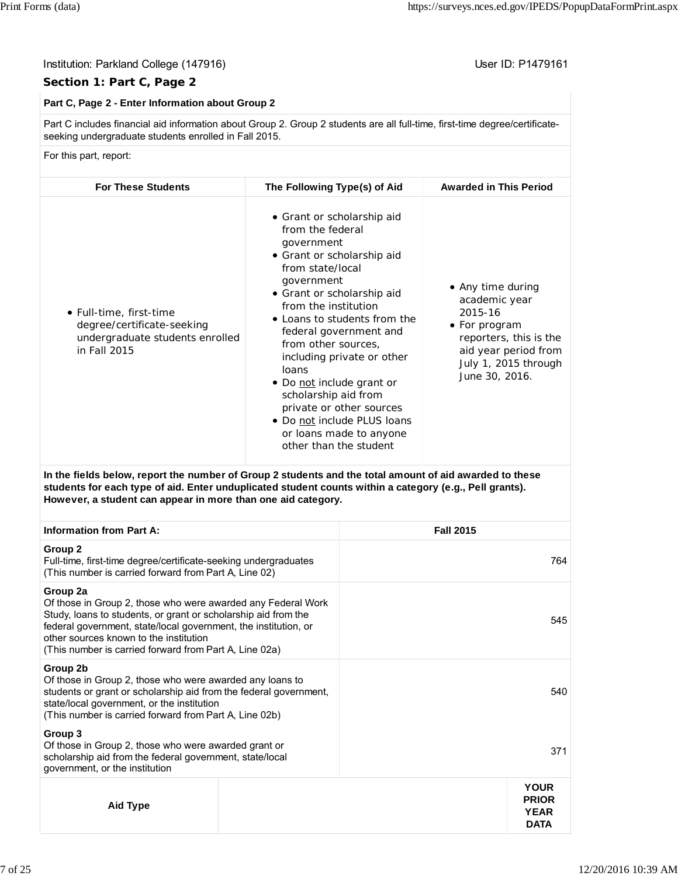#### Institution: Parkland College (147916) Contract College (147916)

# **Section 1: Part C, Page 2**

# **Part C, Page 2 - Enter Information about Group 2**

Part C includes financial aid information about Group 2. Group 2 students are all full-time, first-time degree/certificateseeking undergraduate students enrolled in Fall 2015.

For this part, report:

| <b>For These Students</b>                                                                                | The Following Type(s) of Aid                                                                                                                                                                                                                                                                                                                                                                                                                                                    | <b>Awarded in This Period</b>                                                                                                                              |
|----------------------------------------------------------------------------------------------------------|---------------------------------------------------------------------------------------------------------------------------------------------------------------------------------------------------------------------------------------------------------------------------------------------------------------------------------------------------------------------------------------------------------------------------------------------------------------------------------|------------------------------------------------------------------------------------------------------------------------------------------------------------|
| • Full-time, first-time<br>degree/certificate-seeking<br>undergraduate students enrolled<br>in Fall 2015 | • Grant or scholarship aid<br>from the federal<br>government<br>• Grant or scholarship aid<br>from state/local<br>government<br>• Grant or scholarship aid<br>from the institution<br>• Loans to students from the<br>federal government and<br>from other sources,<br>including private or other<br>loans<br>• Do not include grant or<br>scholarship aid from<br>private or other sources<br>• Do not include PLUS loans<br>or loans made to anyone<br>other than the student | • Any time during<br>academic year<br>2015-16<br>• For program<br>reporters, this is the<br>aid year period from<br>July 1, 2015 through<br>June 30, 2016. |

**In the fields below, report the number of Group 2 students and the total amount of aid awarded to these students for each type of aid. Enter unduplicated student counts within a category (e.g., Pell grants). However, a student can appear in more than one aid category.**

| <b>Information from Part A:</b>                                                                                                                                                                                                                                                                                   |  | <b>Fall 2015</b> |                                                           |
|-------------------------------------------------------------------------------------------------------------------------------------------------------------------------------------------------------------------------------------------------------------------------------------------------------------------|--|------------------|-----------------------------------------------------------|
| Group 2<br>Full-time, first-time degree/certificate-seeking undergraduates<br>(This number is carried forward from Part A, Line 02)                                                                                                                                                                               |  |                  |                                                           |
| Group 2a<br>Of those in Group 2, those who were awarded any Federal Work<br>Study, loans to students, or grant or scholarship aid from the<br>federal government, state/local government, the institution, or<br>other sources known to the institution<br>(This number is carried forward from Part A, Line 02a) |  | 545              |                                                           |
| Group 2b<br>Of those in Group 2, those who were awarded any loans to<br>students or grant or scholarship aid from the federal government,<br>state/local government, or the institution<br>(This number is carried forward from Part A, Line 02b)                                                                 |  |                  | 540                                                       |
| Group 3<br>Of those in Group 2, those who were awarded grant or<br>scholarship aid from the federal government, state/local<br>government, or the institution                                                                                                                                                     |  |                  | 371                                                       |
| Aid Type                                                                                                                                                                                                                                                                                                          |  |                  | <b>YOUR</b><br><b>PRIOR</b><br><b>YEAR</b><br><b>DATA</b> |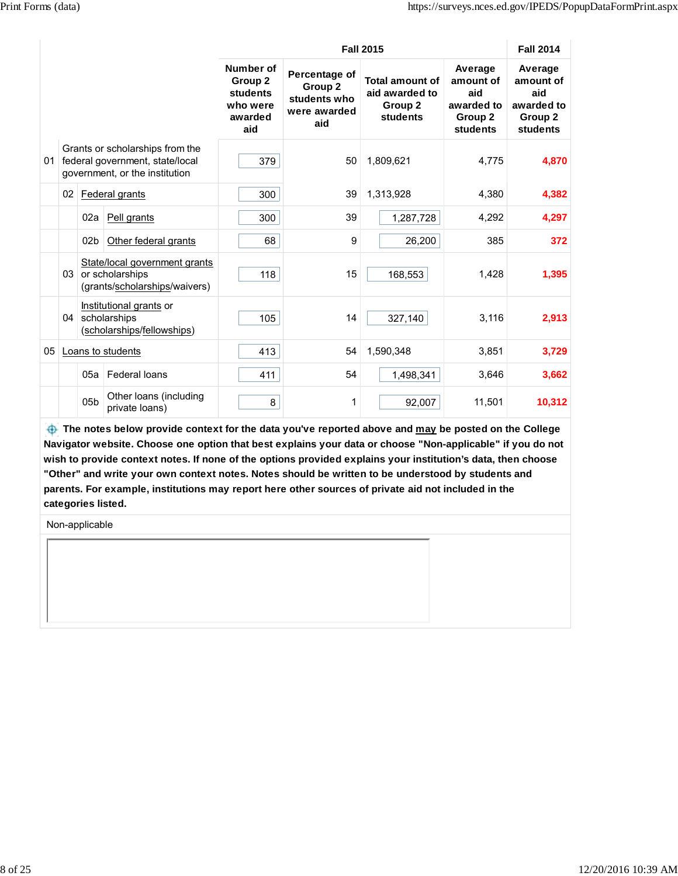|    |                 |                 |                                                                                                      |                                                                | <b>Fall 2015</b>                                                |                                                                 |                                                                  |                                                                  |
|----|-----------------|-----------------|------------------------------------------------------------------------------------------------------|----------------------------------------------------------------|-----------------------------------------------------------------|-----------------------------------------------------------------|------------------------------------------------------------------|------------------------------------------------------------------|
|    |                 |                 |                                                                                                      | Number of<br>Group 2<br>students<br>who were<br>awarded<br>aid | Percentage of<br>Group 2<br>students who<br>were awarded<br>aid | <b>Total amount of</b><br>aid awarded to<br>Group 2<br>students | Average<br>amount of<br>aid<br>awarded to<br>Group 2<br>students | Average<br>amount of<br>aid<br>awarded to<br>Group 2<br>students |
| 01 |                 |                 | Grants or scholarships from the<br>federal government, state/local<br>government, or the institution | 379                                                            | 50                                                              | 1,809,621                                                       | 4,775                                                            | 4,870                                                            |
|    | 02              |                 | Federal grants                                                                                       | 300                                                            | 39                                                              | 1,313,928                                                       | 4,380                                                            | 4,382                                                            |
|    |                 | 02a             | Pell grants                                                                                          | 300                                                            | 39                                                              | 1,287,728                                                       | 4,292                                                            | 4,297                                                            |
|    |                 | 02 <sub>b</sub> | Other federal grants                                                                                 | 68                                                             | 9                                                               | 26,200                                                          | 385                                                              | 372                                                              |
|    | 03 <sup>1</sup> |                 | State/local government grants<br>or scholarships<br>(grants/scholarships/waivers)                    | 118                                                            | 15                                                              | 168,553                                                         | 1,428                                                            | 1,395                                                            |
|    | 04              |                 | Institutional grants or<br>scholarships<br>(scholarships/fellowships)                                | 105                                                            | 14                                                              | 327,140                                                         | 3,116                                                            | 2,913                                                            |
| 05 |                 |                 | Loans to students                                                                                    | 413                                                            | 54                                                              | 1,590,348                                                       | 3,851                                                            | 3,729                                                            |
|    |                 | 05a             | Federal loans                                                                                        | 411                                                            | 54                                                              | 1,498,341                                                       | 3,646                                                            | 3,662                                                            |
|    |                 | 05 <sub>b</sub> | Other loans (including<br>private loans)                                                             | 8                                                              | 1                                                               | 92,007                                                          | 11,501                                                           | 10,312                                                           |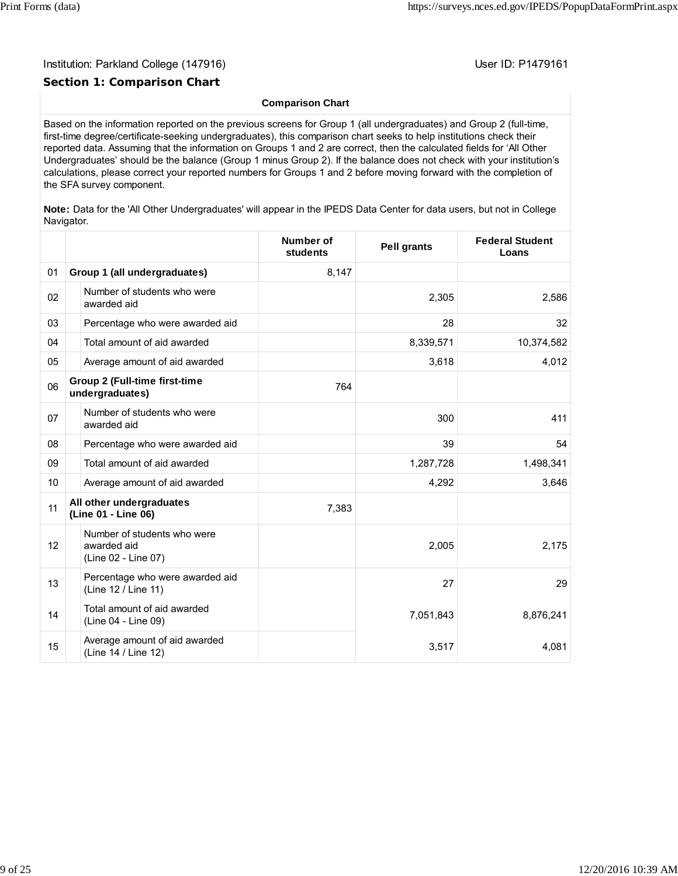# **Section 1: Comparison Chart**

#### **Comparison Chart**

Based on the information reported on the previous screens for Group 1 (all undergraduates) and Group 2 (full-time, first-time degree/certificate-seeking undergraduates), this comparison chart seeks to help institutions check their reported data. Assuming that the information on Groups 1 and 2 are correct, then the calculated fields for 'All Other Undergraduates' should be the balance (Group 1 minus Group 2). If the balance does not check with your institution's calculations, please correct your reported numbers for Groups 1 and 2 before moving forward with the completion of the SFA survey component.

**Note:** Data for the 'All Other Undergraduates' will appear in the IPEDS Data Center for data users, but not in College Navigator.

|    |                                                                   | Number of<br>students | <b>Pell grants</b> | <b>Federal Student</b><br>Loans |
|----|-------------------------------------------------------------------|-----------------------|--------------------|---------------------------------|
| 01 | Group 1 (all undergraduates)                                      | 8,147                 |                    |                                 |
| 02 | Number of students who were<br>awarded aid                        |                       | 2,305              | 2,586                           |
| 03 | Percentage who were awarded aid                                   |                       | 28                 | 32                              |
| 04 | Total amount of aid awarded                                       |                       | 8,339,571          | 10,374,582                      |
| 05 | Average amount of aid awarded                                     |                       | 3,618              | 4,012                           |
| 06 | <b>Group 2 (Full-time first-time</b><br>undergraduates)           | 764                   |                    |                                 |
| 07 | Number of students who were<br>awarded aid                        |                       | 300                | 411                             |
| 08 | Percentage who were awarded aid                                   |                       | 39                 | 54                              |
| 09 | Total amount of aid awarded                                       |                       | 1,287,728          | 1,498,341                       |
| 10 | Average amount of aid awarded                                     |                       | 4,292              | 3,646                           |
| 11 | All other undergraduates<br>(Line 01 - Line 06)                   | 7,383                 |                    |                                 |
| 12 | Number of students who were<br>awarded aid<br>(Line 02 - Line 07) |                       | 2,005              | 2,175                           |
| 13 | Percentage who were awarded aid<br>(Line 12 / Line 11)            |                       | 27                 | 29                              |
| 14 | Total amount of aid awarded<br>(Line 04 - Line 09)                |                       | 7,051,843          | 8,876,241                       |
| 15 | Average amount of aid awarded<br>(Line 14 / Line 12)              |                       | 3,517              | 4,081                           |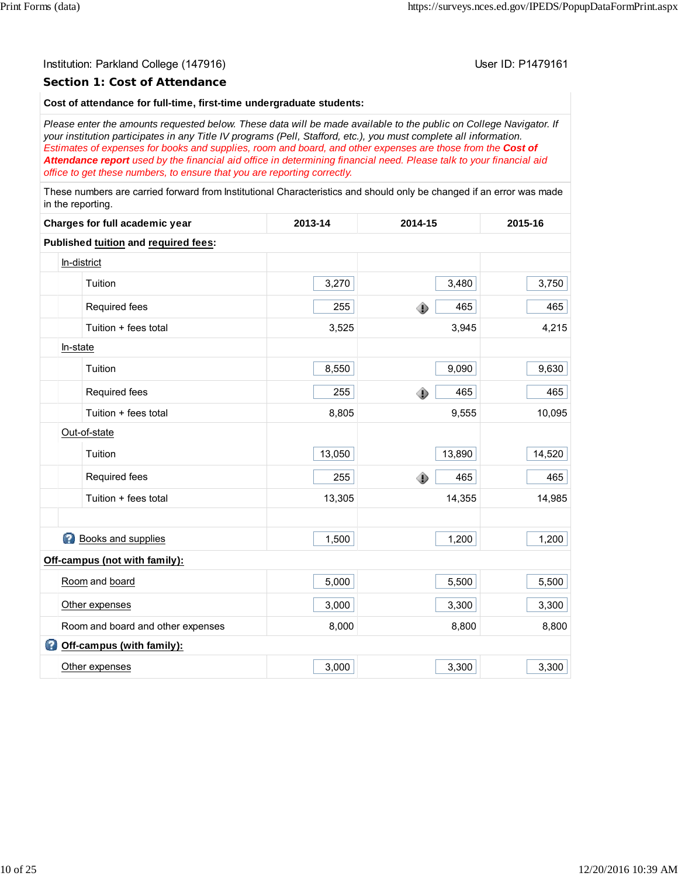#### **Section 1: Cost of Attendance**

#### **Cost of attendance for full-time, first-time undergraduate students:**

*Please enter the amounts requested below. These data will be made available to the public on College Navigator. If your institution participates in any Title IV programs (Pell, Stafford, etc.), you must complete all information. Estimates of expenses for books and supplies, room and board, and other expenses are those from the Cost of Attendance report used by the financial aid office in determining financial need. Please talk to your financial aid office to get these numbers, to ensure that you are reporting correctly.*

These numbers are carried forward from Institutional Characteristics and should only be changed if an error was made in the reporting.

| Charges for full academic year |                                      | 2013-14 | 2014-15  | 2015-16 |
|--------------------------------|--------------------------------------|---------|----------|---------|
|                                | Published tuition and required fees: |         |          |         |
|                                | In-district                          |         |          |         |
|                                | Tuition                              | 3,270   | 3,480    | 3,750   |
|                                | Required fees                        | 255     | ۰<br>465 | 465     |
|                                | Tuition + fees total                 | 3,525   | 3,945    | 4,215   |
|                                | In-state                             |         |          |         |
|                                | Tuition                              | 8,550   | 9,090    | 9,630   |
|                                | Required fees                        | 255     | 465<br>۰ | 465     |
|                                | Tuition + fees total                 | 8,805   | 9,555    | 10,095  |
|                                | Out-of-state                         |         |          |         |
|                                | Tuition                              | 13,050  | 13,890   | 14,520  |
|                                | Required fees                        | 255     | 465<br>۰ | 465     |
|                                | Tuition + fees total                 | 13,305  | 14,355   | 14,985  |
|                                |                                      |         |          |         |
|                                | <b>Books and supplies</b>            | 1,500   | 1,200    | 1,200   |
|                                | Off-campus (not with family):        |         |          |         |
|                                | Room and board                       | 5,000   | 5,500    | 5,500   |
|                                | Other expenses                       | 3,000   | 3,300    | 3,300   |
|                                | Room and board and other expenses    | 8,000   | 8,800    | 8,800   |
|                                | Off-campus (with family):            |         |          |         |
|                                | Other expenses                       | 3,000   | 3,300    | 3,300   |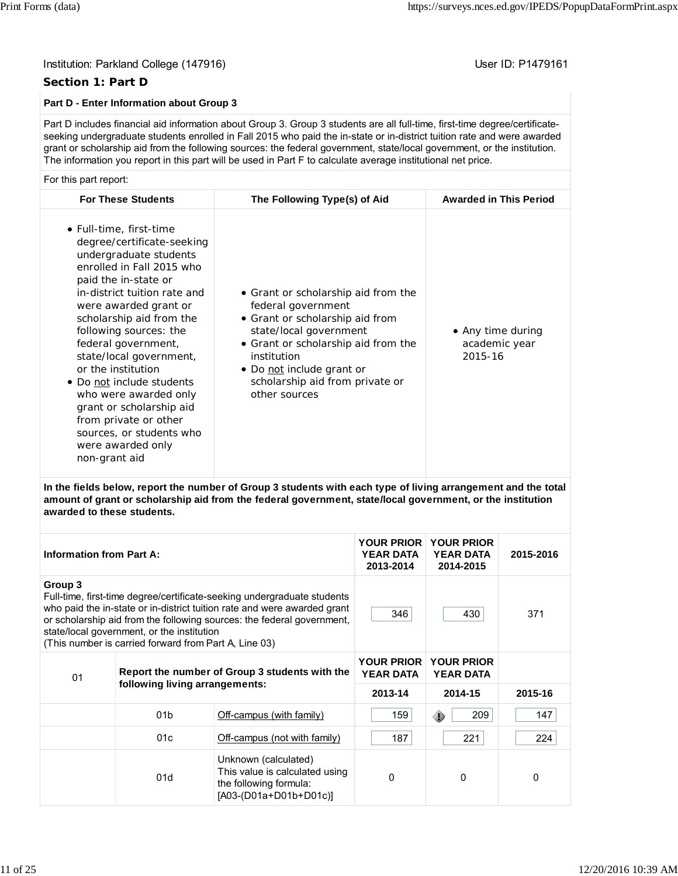# **Section 1: Part D**

# **Part D - Enter Information about Group 3**

Part D includes financial aid information about Group 3. Group 3 students are all full-time, first-time degree/certificateseeking undergraduate students enrolled in Fall 2015 who paid the in-state or in-district tuition rate and were awarded grant or scholarship aid from the following sources: the federal government, state/local government, or the institution. The information you report in this part will be used in Part F to calculate average institutional net price.

#### For this part report:

| <b>For These Students</b>                                                                                                                                                                                                                                                                                                                                                                                                                                                                                | The Following Type(s) of Aid                                                                                                                                                                                                                                  | <b>Awarded in This Period</b>                 |
|----------------------------------------------------------------------------------------------------------------------------------------------------------------------------------------------------------------------------------------------------------------------------------------------------------------------------------------------------------------------------------------------------------------------------------------------------------------------------------------------------------|---------------------------------------------------------------------------------------------------------------------------------------------------------------------------------------------------------------------------------------------------------------|-----------------------------------------------|
| • Full-time, first-time<br>degree/certificate-seeking<br>undergraduate students<br>enrolled in Fall 2015 who<br>paid the in-state or<br>in-district tuition rate and<br>were awarded grant or<br>scholarship aid from the<br>following sources: the<br>federal government,<br>state/local government,<br>or the institution<br>• Do not include students<br>who were awarded only<br>grant or scholarship aid<br>from private or other<br>sources, or students who<br>were awarded only<br>non-grant aid | • Grant or scholarship aid from the<br>federal government<br>• Grant or scholarship aid from<br>state/local government<br>• Grant or scholarship aid from the<br>institution<br>• Do not include grant or<br>scholarship aid from private or<br>other sources | • Any time during<br>academic year<br>2015-16 |

**In the fields below, report the number of Group 3 students with each type of living arrangement and the total amount of grant or scholarship aid from the federal government, state/local government, or the institution awarded to these students.**

| <b>Information from Part A:</b> |                                                                                                                                                                                                                                                                                                                                      | <b>YEAR DATA</b><br>2013-2014                                                                              | <b>YOUR PRIOR YOUR PRIOR</b><br><b>YEAR DATA</b><br>2014-2015 | 2015-2016                             |         |
|---------------------------------|--------------------------------------------------------------------------------------------------------------------------------------------------------------------------------------------------------------------------------------------------------------------------------------------------------------------------------------|------------------------------------------------------------------------------------------------------------|---------------------------------------------------------------|---------------------------------------|---------|
| Group 3                         | Full-time, first-time degree/certificate-seeking undergraduate students<br>who paid the in-state or in-district tuition rate and were awarded grant<br>or scholarship aid from the following sources: the federal government,<br>state/local government, or the institution<br>(This number is carried forward from Part A, Line 03) | 346                                                                                                        | 430                                                           | 371                                   |         |
| 01                              |                                                                                                                                                                                                                                                                                                                                      | Report the number of Group 3 students with the                                                             | <b>YOUR PRIOR</b><br><b>YEAR DATA</b>                         | <b>YOUR PRIOR</b><br><b>YEAR DATA</b> |         |
|                                 | following living arrangements:                                                                                                                                                                                                                                                                                                       |                                                                                                            | 2013-14                                                       | 2014-15                               | 2015-16 |
|                                 | 01 <sub>b</sub>                                                                                                                                                                                                                                                                                                                      | Off-campus (with family)                                                                                   | 159                                                           | 209<br>⊕                              | 147     |
|                                 | 01c                                                                                                                                                                                                                                                                                                                                  | Off-campus (not with family)                                                                               | 187                                                           | 221                                   | 224     |
|                                 | 01d                                                                                                                                                                                                                                                                                                                                  | Unknown (calculated)<br>This value is calculated using<br>the following formula:<br>[A03-(D01a+D01b+D01c)] | $\Omega$                                                      | $\Omega$                              | 0       |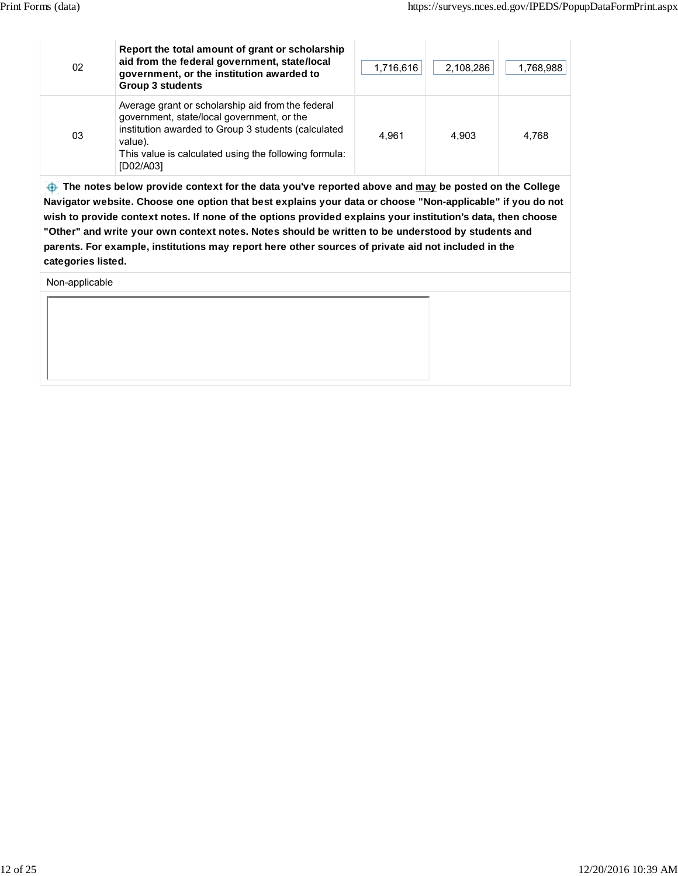| 02 | Report the total amount of grant or scholarship<br>aid from the federal government, state/local<br>government, or the institution awarded to<br><b>Group 3 students</b>                                                                 | 1,716,616 | 2,108,286 | 1,768,988 |
|----|-----------------------------------------------------------------------------------------------------------------------------------------------------------------------------------------------------------------------------------------|-----------|-----------|-----------|
| 03 | Average grant or scholarship aid from the federal<br>government, state/local government, or the<br>institution awarded to Group 3 students (calculated<br>value).<br>This value is calculated using the following formula:<br>[D02/A03] | 4.961     | 4.903     | 4,768     |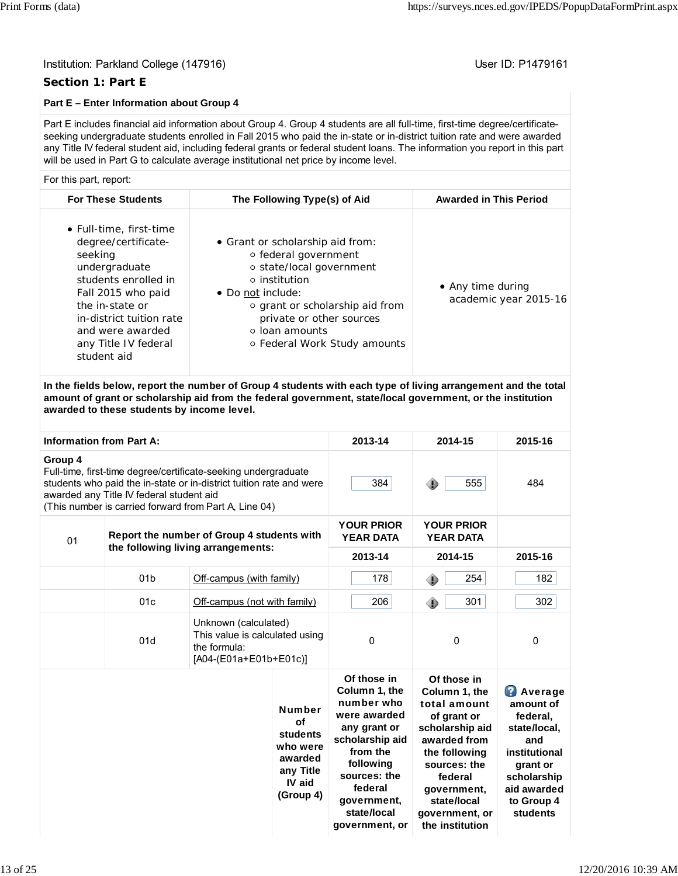### **Section 1: Part E**

# **Part E – Enter Information about Group 4**

Part E includes financial aid information about Group 4. Group 4 students are all full-time, first-time degree/certificateseeking undergraduate students enrolled in Fall 2015 who paid the in-state or in-district tuition rate and were awarded any Title IV federal student aid, including federal grants or federal student loans. The information you report in this part will be used in Part G to calculate average institutional net price by income level.

#### For this part, report:

| <b>For These Students</b>                                                                                                                                                                                                          | The Following Type(s) of Aid                                                                                                                                                                                                                            | <b>Awarded in This Period</b>              |
|------------------------------------------------------------------------------------------------------------------------------------------------------------------------------------------------------------------------------------|---------------------------------------------------------------------------------------------------------------------------------------------------------------------------------------------------------------------------------------------------------|--------------------------------------------|
| • Full-time, first-time<br>degree/certificate-<br>seeking<br>undergraduate<br>students enrolled in<br>Fall 2015 who paid<br>the in-state or<br>in-district tuition rate<br>and were awarded<br>any Title IV federal<br>student aid | • Grant or scholarship aid from:<br>○ federal government<br>○ state/local government<br>$\circ$ institution<br>• Do not include:<br>○ grant or scholarship aid from<br>private or other sources<br>$\circ$ loan amounts<br>○ Federal Work Study amounts | • Any time during<br>academic year 2015-16 |
|                                                                                                                                                                                                                                    |                                                                                                                                                                                                                                                         |                                            |

**In the fields below, report the number of Group 4 students with each type of living arrangement and the total amount of grant or scholarship aid from the federal government, state/local government, or the institution awarded to these students by income level.**

| <b>Information from Part A:</b> |                                          |                                                                                                                                                                                                |                                                                                            | 2013-14                                                                                                                                                                                           | 2014-15                                                                                                                                                                                                       | 2015-16                                                                                                                                             |
|---------------------------------|------------------------------------------|------------------------------------------------------------------------------------------------------------------------------------------------------------------------------------------------|--------------------------------------------------------------------------------------------|---------------------------------------------------------------------------------------------------------------------------------------------------------------------------------------------------|---------------------------------------------------------------------------------------------------------------------------------------------------------------------------------------------------------------|-----------------------------------------------------------------------------------------------------------------------------------------------------|
| Group 4                         | awarded any Title IV federal student aid | Full-time, first-time degree/certificate-seeking undergraduate<br>students who paid the in-state or in-district tuition rate and were<br>(This number is carried forward from Part A, Line 04) |                                                                                            | 384                                                                                                                                                                                               | 555<br>⊕                                                                                                                                                                                                      | 484                                                                                                                                                 |
| 01                              |                                          | Report the number of Group 4 students with                                                                                                                                                     |                                                                                            | <b>YOUR PRIOR</b><br><b>YEAR DATA</b>                                                                                                                                                             | <b>YOUR PRIOR</b><br><b>YEAR DATA</b>                                                                                                                                                                         |                                                                                                                                                     |
|                                 |                                          | the following living arrangements:                                                                                                                                                             |                                                                                            | 2013-14                                                                                                                                                                                           | 2014-15                                                                                                                                                                                                       | 2015-16                                                                                                                                             |
|                                 | 01 <sub>b</sub>                          | Off-campus (with family)                                                                                                                                                                       |                                                                                            | 178                                                                                                                                                                                               | 254<br>۰                                                                                                                                                                                                      | 182                                                                                                                                                 |
|                                 | 01c                                      | Off-campus (not with family)                                                                                                                                                                   |                                                                                            | 206                                                                                                                                                                                               | 301<br>۰                                                                                                                                                                                                      | 302                                                                                                                                                 |
|                                 | 01d                                      | Unknown (calculated)<br>This value is calculated using<br>the formula:<br>[A04-(E01a+E01b+E01c)]                                                                                               |                                                                                            | $\Omega$                                                                                                                                                                                          | $\Omega$                                                                                                                                                                                                      | 0                                                                                                                                                   |
|                                 |                                          |                                                                                                                                                                                                | <b>Number</b><br>of<br>students<br>who were<br>awarded<br>any Title<br>IV aid<br>(Group 4) | Of those in<br>Column 1, the<br>number who<br>were awarded<br>any grant or<br>scholarship aid<br>from the<br>following<br>sources: the<br>federal<br>government,<br>state/local<br>government, or | Of those in<br>Column 1, the<br>total amount<br>of grant or<br>scholarship aid<br>awarded from<br>the following<br>sources: the<br>federal<br>government,<br>state/local<br>government, or<br>the institution | <b>Average</b><br>amount of<br>federal,<br>state/local.<br>and<br>institutional<br>grant or<br>scholarship<br>aid awarded<br>to Group 4<br>students |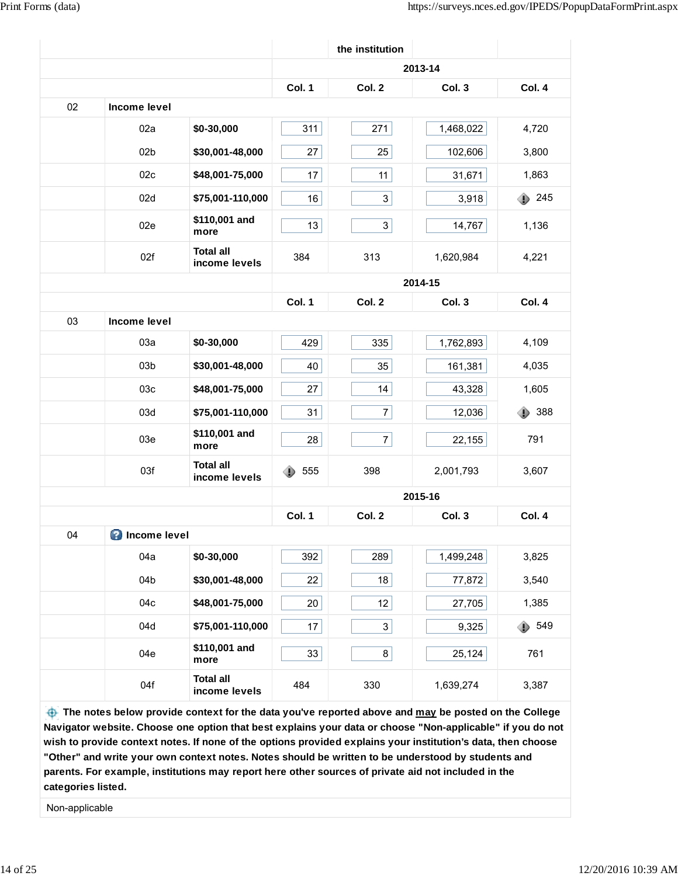|    |                       |                                   |          | the institution |           |               |
|----|-----------------------|-----------------------------------|----------|-----------------|-----------|---------------|
|    |                       |                                   |          |                 | 2013-14   |               |
|    |                       |                                   | Col. 1   | Col. 2          | Col. 3    | Col. 4        |
| 02 | Income level          |                                   |          |                 |           |               |
|    | 02a                   | \$0-30,000                        | 311      | 271             | 1,468,022 | 4,720         |
|    | 02 <sub>b</sub>       | \$30,001-48,000                   | 27       | 25              | 102,606   | 3,800         |
|    | 02c                   | \$48,001-75,000                   | 17       | 11              | 31,671    | 1,863         |
|    | 02d                   | \$75,001-110,000                  | 16       | $3\vert$        | 3,918     | $\bullet$ 245 |
|    | 02e                   | \$110,001 and<br>more             | 13       | 3               | 14,767    | 1,136         |
|    | 02f                   | <b>Total all</b><br>income levels | 384      | 313             | 1,620,984 | 4,221         |
|    |                       |                                   |          |                 | 2014-15   |               |
|    |                       |                                   | Col. 1   | Col. 2          | Col. 3    | Col. 4        |
| 03 | <b>Income level</b>   |                                   |          |                 |           |               |
|    | 03a                   | \$0-30,000                        | 429      | 335             | 1,762,893 | 4,109         |
|    | 03 <sub>b</sub>       | \$30,001-48,000                   | 40       | 35              | 161,381   | 4,035         |
|    | 03c                   | \$48,001-75,000                   | 27       | 14              | 43,328    | 1,605         |
|    | 03d                   | \$75,001-110,000                  | 31       | 7               | 12,036    | 388<br>⊕      |
|    | 03e                   | \$110,001 and<br>more             | 28       | 7               | 22,155    | 791           |
|    | 03f                   | <b>Total all</b><br>income levels | 555<br>◑ | 398             | 2,001,793 | 3,607         |
|    |                       |                                   |          |                 | 2015-16   |               |
|    |                       |                                   | Col. 1   | Col. 2          | Col. 3    | Col. 4        |
| 04 | <b>O</b> Income level |                                   |          |                 |           |               |
|    | 04a                   | \$0-30,000                        | 392      | 289             | 1,499,248 | 3,825         |
|    | 04b                   | \$30,001-48,000                   | 22       | 18              | 77,872    | 3,540         |
|    | 04c                   | \$48,001-75,000                   | 20       | 12              | 27,705    | 1,385         |
|    | 04d                   | \$75,001-110,000                  | 17       | 3               | 9,325     | 549<br>⊕      |
|    | 04e                   | \$110,001 and<br>more             | 33       | 8               | 25,124    | 761           |
|    | 04f                   | <b>Total all</b><br>income levels | 484      | 330             | 1,639,274 | 3,387         |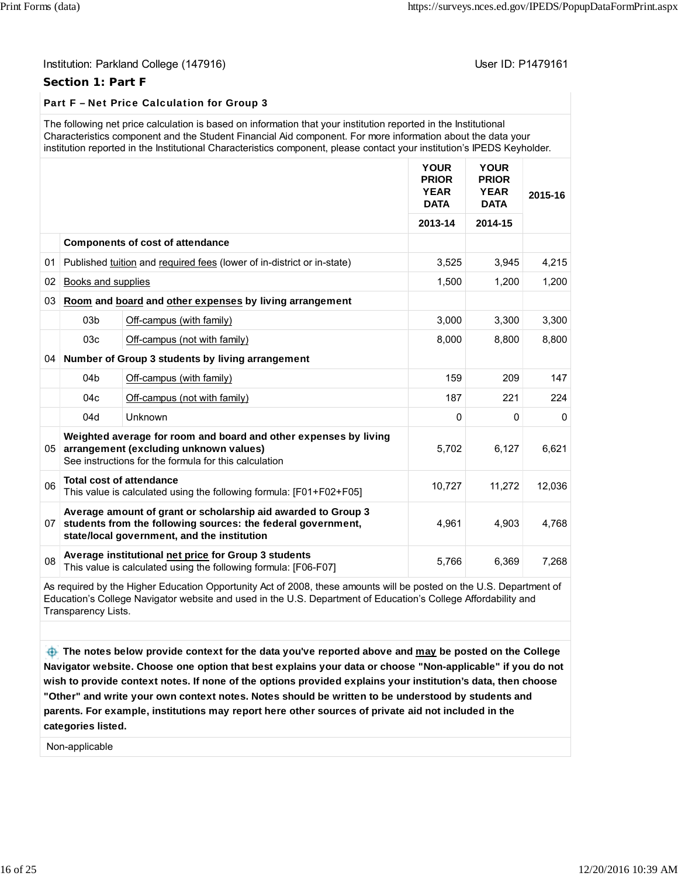#### **Section 1: Part F**

# Part F – Net Price Calculation for Group 3

| The following net price calculation is based on information that your institution reported in the Institutional         |
|-------------------------------------------------------------------------------------------------------------------------|
| Characteristics component and the Student Financial Aid component. For more information about the data your             |
| institution reported in the Institutional Characteristics component, please contact your institution's IPEDS Keyholder. |

|                 |                    |                                                                                                                                                                              | <b>YOUR</b><br><b>PRIOR</b><br><b>YEAR</b><br><b>DATA</b> | <b>YOUR</b><br><b>PRIOR</b><br><b>YEAR</b><br><b>DATA</b> | 2015-16  |
|-----------------|--------------------|------------------------------------------------------------------------------------------------------------------------------------------------------------------------------|-----------------------------------------------------------|-----------------------------------------------------------|----------|
|                 |                    |                                                                                                                                                                              | 2013-14                                                   | 2014-15                                                   |          |
|                 |                    | <b>Components of cost of attendance</b>                                                                                                                                      |                                                           |                                                           |          |
| 01              |                    | Published tuition and required fees (lower of in-district or in-state)                                                                                                       | 3,525                                                     | 3,945                                                     | 4,215    |
| 02              | Books and supplies |                                                                                                                                                                              | 1,500                                                     | 1,200                                                     | 1,200    |
| 03              |                    | Room and board and other expenses by living arrangement                                                                                                                      |                                                           |                                                           |          |
|                 | 03 <sub>b</sub>    | Off-campus (with family)                                                                                                                                                     | 3,000                                                     | 3,300                                                     | 3,300    |
|                 | 03 <sub>c</sub>    | Off-campus (not with family)                                                                                                                                                 | 8,000                                                     | 8,800                                                     | 8,800    |
|                 |                    | 04 Number of Group 3 students by living arrangement                                                                                                                          |                                                           |                                                           |          |
|                 | 04 <sub>b</sub>    | Off-campus (with family)                                                                                                                                                     | 159                                                       | 209                                                       | 147      |
|                 | 04c                | Off-campus (not with family)                                                                                                                                                 | 187                                                       | 221                                                       | 224      |
|                 | 04d                | Unknown                                                                                                                                                                      | $\Omega$                                                  | 0                                                         | $\Omega$ |
| 05 <sup>1</sup> |                    | Weighted average for room and board and other expenses by living<br>arrangement (excluding unknown values)<br>See instructions for the formula for this calculation          | 5,702                                                     | 6,127                                                     | 6,621    |
| 06              |                    | <b>Total cost of attendance</b><br>This value is calculated using the following formula: [F01+F02+F05]                                                                       | 10,727                                                    | 11,272                                                    | 12,036   |
| 07              |                    | Average amount of grant or scholarship aid awarded to Group 3<br>students from the following sources: the federal government,<br>state/local government, and the institution | 4,961                                                     | 4,903                                                     | 4,768    |
| 08              |                    | Average institutional net price for Group 3 students<br>This value is calculated using the following formula: [F06-F07]                                                      | 5,766                                                     | 6,369                                                     | 7,268    |

As required by the Higher Education Opportunity Act of 2008, these amounts will be posted on the U.S. Department of Education's College Navigator website and used in the U.S. Department of Education's College Affordability and Transparency Lists.

 **The notes below provide context for the data you've reported above and may be posted on the College Navigator website. Choose one option that best explains your data or choose "Non-applicable" if you do not wish to provide context notes. If none of the options provided explains your institution's data, then choose "Other" and write your own context notes. Notes should be written to be understood by students and parents. For example, institutions may report here other sources of private aid not included in the categories listed.**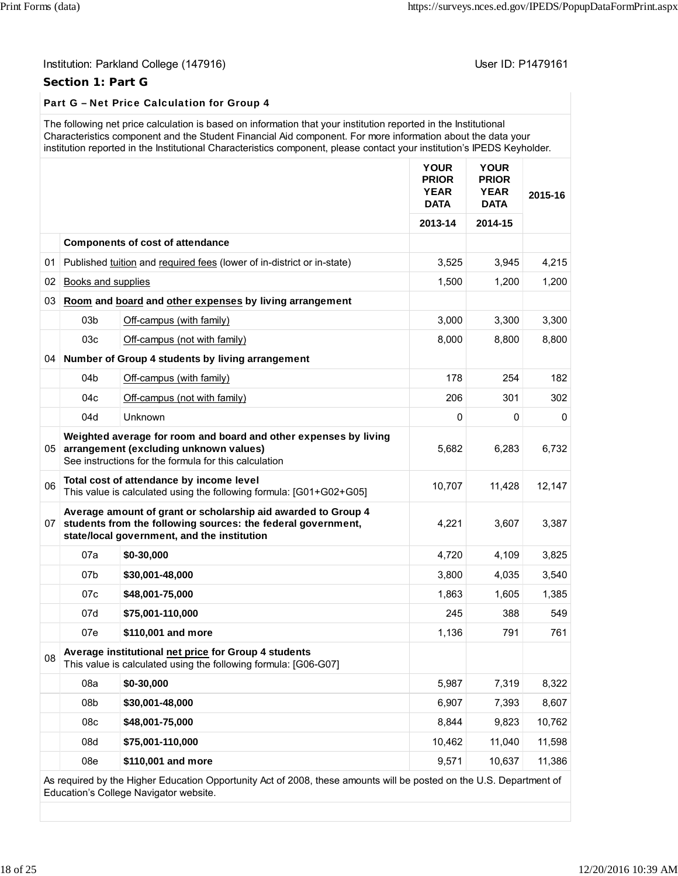# Institution: Parkland College (147916) **Institution: Parkland College (147916**)

# **Section 1: Part G**

# Part G – Net Price Calculation for Group 4

|    |                    | The following net price calculation is based on information that your institution reported in the Institutional<br>Characteristics component and the Student Financial Aid component. For more information about the data your<br>institution reported in the Institutional Characteristics component, please contact your institution's IPEDS Keyholder. |                                                           |                                                           |         |
|----|--------------------|-----------------------------------------------------------------------------------------------------------------------------------------------------------------------------------------------------------------------------------------------------------------------------------------------------------------------------------------------------------|-----------------------------------------------------------|-----------------------------------------------------------|---------|
|    |                    |                                                                                                                                                                                                                                                                                                                                                           | <b>YOUR</b><br><b>PRIOR</b><br><b>YEAR</b><br><b>DATA</b> | <b>YOUR</b><br><b>PRIOR</b><br><b>YEAR</b><br><b>DATA</b> | 2015-16 |
|    |                    |                                                                                                                                                                                                                                                                                                                                                           | 2013-14                                                   | 2014-15                                                   |         |
|    |                    | <b>Components of cost of attendance</b>                                                                                                                                                                                                                                                                                                                   |                                                           |                                                           |         |
| 01 |                    | Published tuition and required fees (lower of in-district or in-state)                                                                                                                                                                                                                                                                                    | 3,525                                                     | 3,945                                                     | 4,215   |
| 02 | Books and supplies |                                                                                                                                                                                                                                                                                                                                                           | 1,500                                                     | 1,200                                                     | 1,200   |
| 03 |                    | Room and board and other expenses by living arrangement                                                                                                                                                                                                                                                                                                   |                                                           |                                                           |         |
|    | 03 <sub>b</sub>    | Off-campus (with family)                                                                                                                                                                                                                                                                                                                                  | 3,000                                                     | 3,300                                                     | 3,300   |
|    | 03c                | Off-campus (not with family)                                                                                                                                                                                                                                                                                                                              | 8,000                                                     | 8,800                                                     | 8,800   |
| 04 |                    | Number of Group 4 students by living arrangement                                                                                                                                                                                                                                                                                                          |                                                           |                                                           |         |
|    | 04b                | Off-campus (with family)                                                                                                                                                                                                                                                                                                                                  | 178                                                       | 254                                                       | 182     |
|    | 04c                | Off-campus (not with family)                                                                                                                                                                                                                                                                                                                              | 206                                                       | 301                                                       | 302     |
|    | 04d                | Unknown                                                                                                                                                                                                                                                                                                                                                   | 0                                                         | 0                                                         | 0       |
| 05 |                    | Weighted average for room and board and other expenses by living<br>arrangement (excluding unknown values)<br>See instructions for the formula for this calculation                                                                                                                                                                                       | 5,682                                                     | 6,283                                                     | 6,732   |
| 06 |                    | Total cost of attendance by income level<br>This value is calculated using the following formula: [G01+G02+G05]                                                                                                                                                                                                                                           | 10,707                                                    | 11,428                                                    | 12,147  |
| 07 |                    | Average amount of grant or scholarship aid awarded to Group 4<br>students from the following sources: the federal government,<br>state/local government, and the institution                                                                                                                                                                              | 4,221                                                     | 3,607                                                     | 3,387   |
|    | 07a                | \$0-30,000                                                                                                                                                                                                                                                                                                                                                | 4,720                                                     | 4,109                                                     | 3,825   |
|    | 07b                | \$30,001-48,000                                                                                                                                                                                                                                                                                                                                           | 3,800                                                     | 4,035                                                     | 3,540   |
|    | 07 <sub>c</sub>    | \$48,001-75,000                                                                                                                                                                                                                                                                                                                                           | 1,863                                                     | 1,605                                                     | 1,385   |
|    | 07d                | \$75,001-110,000                                                                                                                                                                                                                                                                                                                                          | 245                                                       | 388                                                       | 549     |
|    | 07e                | \$110,001 and more                                                                                                                                                                                                                                                                                                                                        | 1,136                                                     | 791                                                       | 761     |
| 08 |                    | Average institutional net price for Group 4 students<br>This value is calculated using the following formula: [G06-G07]                                                                                                                                                                                                                                   |                                                           |                                                           |         |
|    | 08a                | \$0-30,000                                                                                                                                                                                                                                                                                                                                                | 5,987                                                     | 7,319                                                     | 8,322   |
|    | 08b                | \$30,001-48,000                                                                                                                                                                                                                                                                                                                                           | 6,907                                                     | 7,393                                                     | 8,607   |
|    | 08c                | \$48,001-75,000                                                                                                                                                                                                                                                                                                                                           | 8,844                                                     | 9,823                                                     | 10,762  |
|    | 08d                | \$75,001-110,000                                                                                                                                                                                                                                                                                                                                          | 10,462                                                    | 11.040                                                    | 11,598  |
|    | 08e                | \$110,001 and more                                                                                                                                                                                                                                                                                                                                        | 9,571                                                     | 10,637                                                    | 11,386  |
|    |                    | As required by the Higher Education Opportunity Act of 2008, these amounts will be posted on the U.S. Department of                                                                                                                                                                                                                                       |                                                           |                                                           |         |

As required by the Higher Education Opportunity Act of 2008, these amounts will be posted on the U.S. Department of Education's College Navigator website.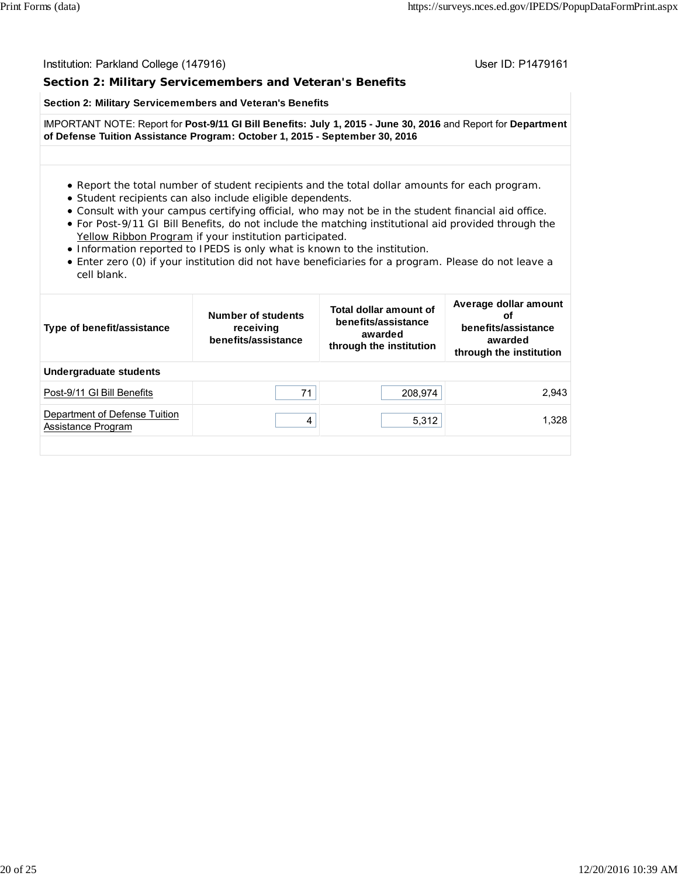### **Section 2: Military Servicemembers and Veteran's Benefits**

#### **Section 2: Military Servicemembers and Veteran's Benefits**

IMPORTANT NOTE: Report for **Post-9/11 GI Bill Benefits: July 1, 2015 - June 30, 2016** and Report for **Department of Defense Tuition Assistance Program: October 1, 2015 - September 30, 2016**

#### Report the total number of student recipients and the total dollar amounts for each program.

- Student recipients can also include eligible dependents.
- Consult with your campus certifying official, who may not be in the student financial aid office.
- For Post-9/11 GI Bill Benefits, do not include the matching institutional aid provided through the Yellow Ribbon Program if your institution participated.
- Information reported to IPEDS is only what is known to the institution.
- Enter zero (0) if your institution did not have beneficiaries for a program. Please do not leave a cell blank.

| Type of benefit/assistance                          | Number of students<br>receiving<br>benefits/assistance | Total dollar amount of<br>benefits/assistance<br>awarded<br>through the institution | Average dollar amount<br>оf<br>benefits/assistance<br>awarded<br>through the institution |
|-----------------------------------------------------|--------------------------------------------------------|-------------------------------------------------------------------------------------|------------------------------------------------------------------------------------------|
| Undergraduate students                              |                                                        |                                                                                     |                                                                                          |
| Post-9/11 GI Bill Benefits                          | 71                                                     | 208,974                                                                             | 2.943                                                                                    |
| Department of Defense Tuition<br>Assistance Program | 4                                                      | 5,312                                                                               | 1.328                                                                                    |
|                                                     |                                                        |                                                                                     |                                                                                          |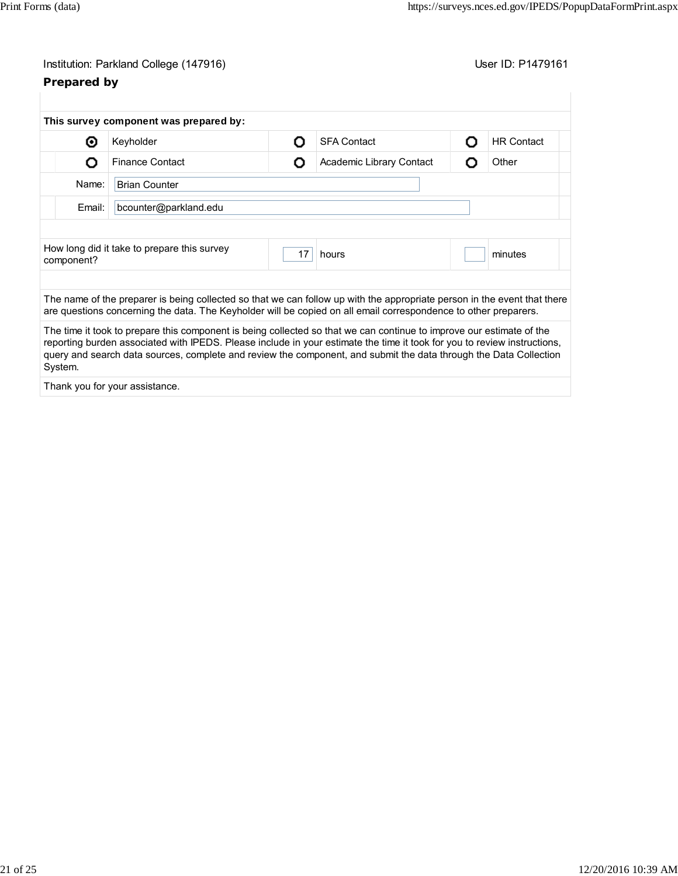| Institution: Parkland College (147916) |  |
|----------------------------------------|--|
|----------------------------------------|--|

# **Prepared by**

User ID: P1479161

|                               | This survey component was prepared by:                                                                                                                                                                                                                                                                                                                                |    |                          |   |                   |
|-------------------------------|-----------------------------------------------------------------------------------------------------------------------------------------------------------------------------------------------------------------------------------------------------------------------------------------------------------------------------------------------------------------------|----|--------------------------|---|-------------------|
| ◉                             | Keyholder                                                                                                                                                                                                                                                                                                                                                             | Ω  | <b>SFA Contact</b>       | Ο | <b>HR Contact</b> |
| O                             | <b>Finance Contact</b>                                                                                                                                                                                                                                                                                                                                                | О  | Academic Library Contact | Ω | Other             |
| Name:<br><b>Brian Counter</b> |                                                                                                                                                                                                                                                                                                                                                                       |    |                          |   |                   |
| Email:                        | bcounter@parkland.edu                                                                                                                                                                                                                                                                                                                                                 |    |                          |   |                   |
|                               |                                                                                                                                                                                                                                                                                                                                                                       |    |                          |   |                   |
| component?                    | How long did it take to prepare this survey                                                                                                                                                                                                                                                                                                                           | 17 | hours                    |   | minutes           |
|                               |                                                                                                                                                                                                                                                                                                                                                                       |    |                          |   |                   |
|                               | The name of the preparer is being collected so that we can follow up with the appropriate person in the event that there<br>are questions concerning the data. The Keyholder will be copied on all email correspondence to other preparers.                                                                                                                           |    |                          |   |                   |
| System.                       | The time it took to prepare this component is being collected so that we can continue to improve our estimate of the<br>reporting burden associated with IPEDS. Please include in your estimate the time it took for you to review instructions,<br>query and search data sources, complete and review the component, and submit the data through the Data Collection |    |                          |   |                   |
|                               |                                                                                                                                                                                                                                                                                                                                                                       |    |                          |   |                   |

Thank you for your assistance.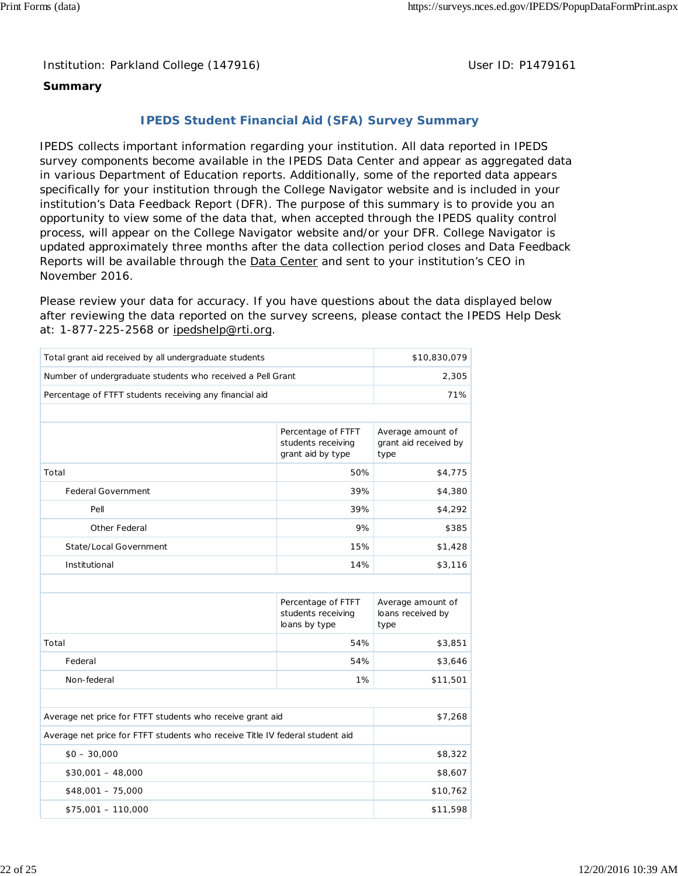Institution: Parkland College (147916) **Distribution: Parkland College (1479161** College College College College College College College College College College College College College College College College College Colle

# **Summary**

# **IPEDS Student Financial Aid (SFA) Survey Summary**

IPEDS collects important information regarding your institution. All data reported in IPEDS survey components become available in the IPEDS Data Center and appear as aggregated data in various Department of Education reports. Additionally, some of the reported data appears specifically for your institution through the College Navigator website and is included in your institution's Data Feedback Report (DFR). The purpose of this summary is to provide you an opportunity to view some of the data that, when accepted through the IPEDS quality control process, will appear on the College Navigator website and/or your DFR. College Navigator is updated approximately three months after the data collection period closes and Data Feedback Reports will be available through the **Data Center** and sent to your institution's CEO in November 2016.

Please review your data for accuracy. If you have questions about the data displayed below after reviewing the data reported on the survey screens, please contact the IPEDS Help Desk at: 1-877-225-2568 or ipedshelp@rti.org.

| Total grant aid received by all undergraduate students                       |                                                               | \$10,830,079                                       |
|------------------------------------------------------------------------------|---------------------------------------------------------------|----------------------------------------------------|
| Number of undergraduate students who received a Pell Grant                   |                                                               | 2,305                                              |
| Percentage of FTFT students receiving any financial aid                      |                                                               | 71%                                                |
|                                                                              |                                                               |                                                    |
|                                                                              | Percentage of FTFT<br>students receiving<br>grant aid by type | Average amount of<br>grant aid received by<br>type |
| Total                                                                        | 50%                                                           | \$4,775                                            |
| <b>Federal Government</b>                                                    | 39%                                                           | \$4,380                                            |
| Pell                                                                         | 39%                                                           | \$4,292                                            |
| Other Federal                                                                | 9%                                                            | \$385                                              |
| State/Local Government                                                       | 15%                                                           | \$1,428                                            |
| Institutional                                                                | 14%                                                           | \$3,116                                            |
|                                                                              |                                                               |                                                    |
|                                                                              | Percentage of FTFT<br>students receiving<br>loans by type     | Average amount of<br>loans received by<br>type     |
| Total                                                                        | 54%                                                           | \$3,851                                            |
| Federal                                                                      | 54%                                                           | \$3,646                                            |
| Non-federal                                                                  | 1%                                                            | \$11,501                                           |
|                                                                              |                                                               |                                                    |
| Average net price for FTFT students who receive grant aid                    |                                                               | \$7,268                                            |
| Average net price for FTFT students who receive Title IV federal student aid |                                                               |                                                    |
| $$0 - 30,000$                                                                |                                                               | \$8,322                                            |
| $$30,001 - 48,000$                                                           |                                                               | \$8,607                                            |
| $$48,001 - 75,000$                                                           | \$10,762                                                      |                                                    |
| $$75,001 - 110,000$                                                          | \$11,598                                                      |                                                    |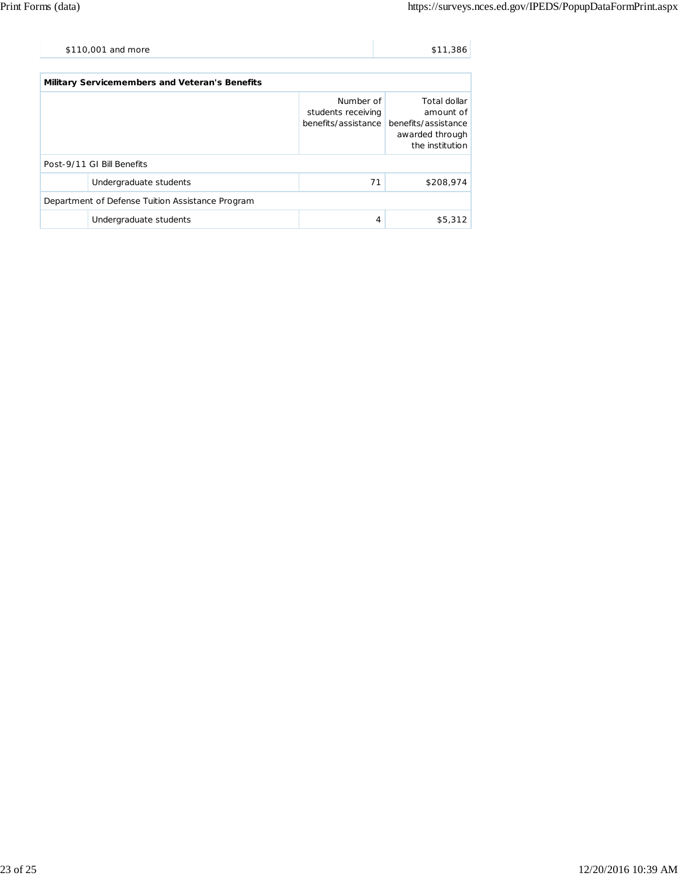| \$110,001 and more | \$11,386 |
|--------------------|----------|
|                    |          |

| <b>Military Servicemembers and Veteran's Benefits</b> |                        |                                 |                                                                                                            |  |  |  |
|-------------------------------------------------------|------------------------|---------------------------------|------------------------------------------------------------------------------------------------------------|--|--|--|
|                                                       |                        | Number of<br>students receiving | Total dollar<br>amount of<br>benefits/assistance benefits/assistance<br>awarded through<br>the institution |  |  |  |
| Post-9/11 GI Bill Benefits                            |                        |                                 |                                                                                                            |  |  |  |
|                                                       | Undergraduate students | 71                              | \$208,974                                                                                                  |  |  |  |
| Department of Defense Tuition Assistance Program      |                        |                                 |                                                                                                            |  |  |  |
|                                                       | Undergraduate students | 4                               | \$5,312                                                                                                    |  |  |  |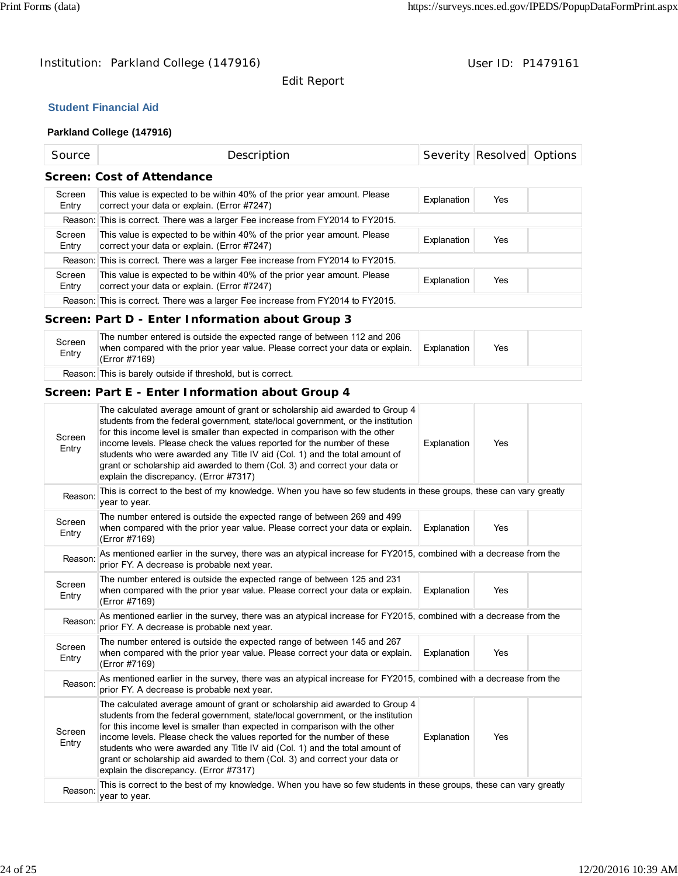# Institution: Parkland College (147916) Contract College (147916)

Edit Report

# **Student Financial Aid**

# **Parkland College (147916)**

| Source                            | Description                                                                                                             |             | Severity Resolved Options |  |  |
|-----------------------------------|-------------------------------------------------------------------------------------------------------------------------|-------------|---------------------------|--|--|
| <b>Screen: Cost of Attendance</b> |                                                                                                                         |             |                           |  |  |
| Screen<br>Entry                   | This value is expected to be within 40% of the prior year amount. Please<br>correct your data or explain. (Error #7247) | Explanation | Yes                       |  |  |
|                                   | Reason: This is correct. There was a larger Fee increase from FY2014 to FY2015.                                         |             |                           |  |  |
| Screen<br>Entry                   | This value is expected to be within 40% of the prior year amount. Please<br>correct your data or explain. (Error #7247) | Explanation | Yes.                      |  |  |
|                                   | Reason: This is correct. There was a larger Fee increase from FY2014 to FY2015.                                         |             |                           |  |  |
| Screen<br>Entry                   | This value is expected to be within 40% of the prior year amount. Please<br>correct your data or explain. (Error #7247) | Explanation | Yes                       |  |  |
|                                   | Reason: This is correct. There was a larger Fee increase from FY2014 to FY2015.                                         |             |                           |  |  |

# **Screen: Part D - Enter Information about Group 3**

| Screen<br>Entry | The number entered is outside the expected range of between 112 and 206<br>when compared with the prior year value. Please correct your data or explain.<br>(Error #7169) | Explanation | Yes |  |
|-----------------|---------------------------------------------------------------------------------------------------------------------------------------------------------------------------|-------------|-----|--|
|                 | Reason: This is barely outside if threshold, but is correct.                                                                                                              |             |     |  |

# **Screen: Part E - Enter Information about Group 4**

| Screen<br>Entry                                                                                                                                                            | The calculated average amount of grant or scholarship aid awarded to Group 4<br>students from the federal government, state/local government, or the institution<br>for this income level is smaller than expected in comparison with the other<br>income levels. Please check the values reported for the number of these<br>students who were awarded any Title IV aid (Col. 1) and the total amount of<br>grant or scholarship aid awarded to them (Col. 3) and correct your data or<br>explain the discrepancy. (Error #7317) | Explanation | Yes |  |  |
|----------------------------------------------------------------------------------------------------------------------------------------------------------------------------|-----------------------------------------------------------------------------------------------------------------------------------------------------------------------------------------------------------------------------------------------------------------------------------------------------------------------------------------------------------------------------------------------------------------------------------------------------------------------------------------------------------------------------------|-------------|-----|--|--|
| Reason:                                                                                                                                                                    | This is correct to the best of my knowledge. When you have so few students in these groups, these can vary greatly<br>year to year.                                                                                                                                                                                                                                                                                                                                                                                               |             |     |  |  |
| Screen<br>Entry                                                                                                                                                            | The number entered is outside the expected range of between 269 and 499<br>when compared with the prior year value. Please correct your data or explain.<br>(Error #7169)                                                                                                                                                                                                                                                                                                                                                         | Explanation | Yes |  |  |
| Reason:                                                                                                                                                                    | As mentioned earlier in the survey, there was an atypical increase for FY2015, combined with a decrease from the<br>prior FY. A decrease is probable next year.                                                                                                                                                                                                                                                                                                                                                                   |             |     |  |  |
| Screen<br>Entry                                                                                                                                                            | The number entered is outside the expected range of between 125 and 231<br>when compared with the prior year value. Please correct your data or explain.<br>(Error #7169)                                                                                                                                                                                                                                                                                                                                                         | Explanation | Yes |  |  |
| As mentioned earlier in the survey, there was an atypical increase for FY2015, combined with a decrease from the<br>Reason:<br>prior FY. A decrease is probable next year. |                                                                                                                                                                                                                                                                                                                                                                                                                                                                                                                                   |             |     |  |  |
| Screen<br>Entry                                                                                                                                                            | The number entered is outside the expected range of between 145 and 267<br>when compared with the prior year value. Please correct your data or explain.<br>(Error #7169)                                                                                                                                                                                                                                                                                                                                                         | Explanation | Yes |  |  |
| Reason:                                                                                                                                                                    | As mentioned earlier in the survey, there was an atypical increase for FY2015, combined with a decrease from the<br>prior FY. A decrease is probable next year.                                                                                                                                                                                                                                                                                                                                                                   |             |     |  |  |
| Screen<br>Entry                                                                                                                                                            | The calculated average amount of grant or scholarship aid awarded to Group 4<br>students from the federal government, state/local government, or the institution<br>for this income level is smaller than expected in comparison with the other<br>income levels. Please check the values reported for the number of these<br>students who were awarded any Title IV aid (Col. 1) and the total amount of<br>grant or scholarship aid awarded to them (Col. 3) and correct your data or<br>explain the discrepancy. (Error #7317) | Explanation | Yes |  |  |
| Reason:                                                                                                                                                                    | This is correct to the best of my knowledge. When you have so few students in these groups, these can vary greatly<br>year to year.                                                                                                                                                                                                                                                                                                                                                                                               |             |     |  |  |